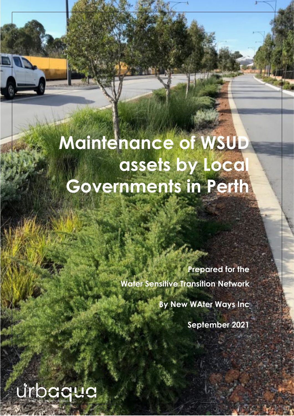# **Maintenance of WSUD assets by Local Governments in Perth**

**Prepared for the Water Sensitive Transition Network**

**By New WAter Ways Inc**

**September 2021**

urbaqua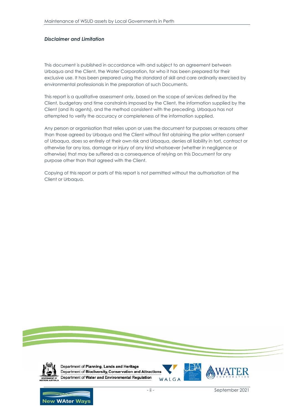#### *Disclaimer and Limitation*

This document is published in accordance with and subject to an agreement between Urbaqua and the Client, the Water Corporation, for who it has been prepared for their exclusive use. It has been prepared using the standard of skill and care ordinarily exercised by environmental professionals in the preparation of such Documents.

This report is a qualitative assessment only, based on the scope of services defined by the Client, budgetary and time constraints imposed by the Client, the information supplied by the Client (and its agents), and the method consistent with the preceding. Urbaqua has not attempted to verify the accuracy or completeness of the information supplied.

Any person or organisation that relies upon or uses the document for purposes or reasons other than those agreed by Urbaqua and the Client without first obtaining the prior written consent of Urbaqua, does so entirely at their own risk and Urbaqua, denies all liability in tort, contract or otherwise for any loss, damage or injury of any kind whatsoever (whether in negligence or otherwise) that may be suffered as a consequence of relying on this Document for any purpose other than that agreed with the Client.

Copying of this report or parts of this report is not permitted without the authorisation of the Client or Urbaqua.





Department of Planning, Lands and Heritage Department of Biodiversity, Conservation and Attractions Department of Water and Environmental Regulation WALGA





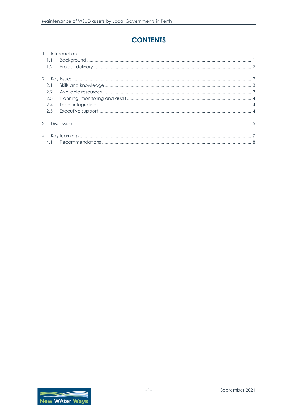# **CONTENTS**

| 1.1            |  |
|----------------|--|
| 1.2            |  |
| 2              |  |
| 2.1            |  |
|                |  |
| 2.2            |  |
| 2.3            |  |
| 2.4            |  |
| 2.5            |  |
| $\mathcal{A}$  |  |
|                |  |
| $\overline{4}$ |  |
| 4.1            |  |

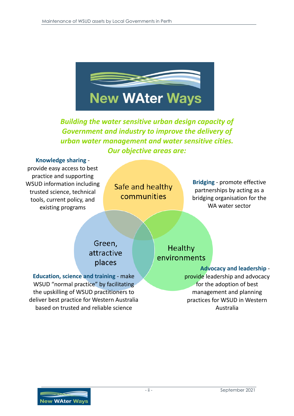

*Building the water sensitive urban design capacity of Government and industry to improve the delivery of urban water management and water sensitive cities. Our objective areas are:*

**Knowledge sharing** provide easy access to best practice and supporting WSUD information including trusted science, technical tools, current policy, and existing programs

Safe and healthy communities

**Bridging** - promote effective partnerships by acting as a bridging organisation for the WA water sector

# Green, attractive places

**Education, science and training** - make WSUD "normal practice" by facilitating the upskilling of WSUD practitioners to deliver best practice for Western Australia based on trusted and reliable science

**Healthy** environments

 **Advocacy and leadership** -

provide leadership and advocacy for the adoption of best management and planning practices for WSUD in Western Australia

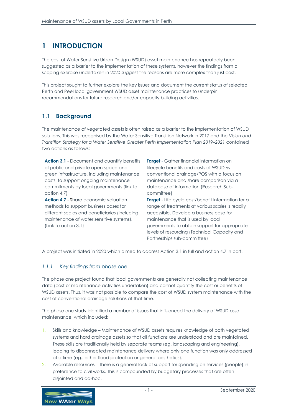## <span id="page-4-0"></span>**1 INTRODUCTION**

The cost of Water Sensitive Urban Design (WSUD) asset maintenance has repeatedly been suggested as a barrier to the implementation of these systems, however the findings from a scoping exercise undertaken in 2020 suggest the reasons are more complex than just cost.

This project sought to further explore the key issues and document the current status of selected Perth and Peel local government WSUD asset maintenance practices to underpin recommendations for future research and/or capacity building activities.

#### <span id="page-4-1"></span>**1.1 Background**

The maintenance of vegetated assets is often raised as a barrier to the implementation of WSUD solutions. This was recognised by the Water Sensitive Transition Network in 2017 and the *Vision and Transition Strategy for a Water Sensitive Greater Perth Implementation Plan 2019–2021* contained two actions as follows:

| <b>Action 3.1 - Document and quantify benefits</b>                                                                                                                                                         | <b>Target</b> - Gather financial information on                                                                                                                                                                                                                                                                               |
|------------------------------------------------------------------------------------------------------------------------------------------------------------------------------------------------------------|-------------------------------------------------------------------------------------------------------------------------------------------------------------------------------------------------------------------------------------------------------------------------------------------------------------------------------|
| of public and private open space and                                                                                                                                                                       | lifecycle benefits and costs of WSUD vs                                                                                                                                                                                                                                                                                       |
| green infrastructure, including maintenance                                                                                                                                                                | conventional drainage/POS with a focus on                                                                                                                                                                                                                                                                                     |
| costs, to support ongoing maintenance                                                                                                                                                                      | maintenance and share comparison via a                                                                                                                                                                                                                                                                                        |
| commitments by local governments (link to                                                                                                                                                                  | database of information (Research Sub-                                                                                                                                                                                                                                                                                        |
| action 4.7)                                                                                                                                                                                                | committee)                                                                                                                                                                                                                                                                                                                    |
| <b>Action 4.7 - Share economic valuation</b><br>methods to support business cases for<br>different scales and beneficiaries (including<br>maintenance of water sensitive systems).<br>(Link to action 3.1) | <b>Target</b> - Life cycle cost/benefit information for a<br>range of treatments at various scales is readily<br>accessible. Develop a business case for<br>maintenance that is used by local<br>governments to obtain support for appropriate<br>levels of resourcing (Technical Capacity and<br>Partnerships sub-committee) |

A project was initiated in 2020 which aimed to address Action 3.1 in full and action 4.7 in part.

#### *1.1.1 Key findings from phase one*

The phase one project found that local governments are generally not collecting maintenance data (cost or maintenance activities undertaken) and cannot quantify the cost or benefits of WSUD assets. Thus, it was not possible to compare the cost of WSUD system maintenance with the cost of conventional drainage solutions at that time.

The phase one study identified a number of issues that influenced the delivery of WSUD asset maintenance, which included:

- 1. Skills and knowledge Maintenance of WSUD assets requires knowledge of both vegetated systems and hard drainage assets so that all functions are understood and are maintained. These skills are traditionally held by separate teams (eg. landscaping and engineering), leading to disconnected maintenance delivery where only one function was only addressed at a time (eg.. either flood protection or general aesthetics).
- 2. Available resources There is a general lack of support for spending on services (people) in preference to civil works. This is compounded by budgetary processes that are often disjointed and ad-hoc.

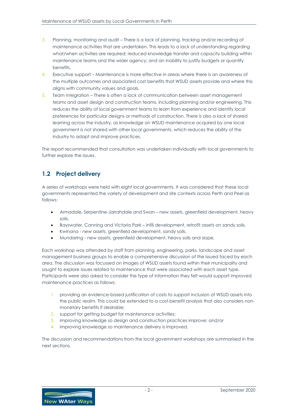- 3. Planning, monitoring and audit There is a lack of planning, tracking and/or recording of maintenance activities that are undertaken. This leads to a lack of understanding regarding what/when activities are required; reduced knowledge transfer and capacity building within maintenance teams and the wider agency; and an inability to justify budgets or quantify benefits.
- 4. Executive support Maintenance is more effective in areas where there is an awareness of the multiple outcomes and associated cost benefits that WSUD assets provide and where this aligns with community values and goals.
- 5. Team integration There is often a lack of communication between asset management teams and asset design and construction teams, including planning and/or engineering. This reduces the ability of local government teams to learn from experience and identify local preferences for particular designs or methods of construction. There is also a lack of shared learning across the industry, as knowledge on WSUD maintenance acquired by one local government is not shared with other local governments, which reduces the ability of the industry to adapt and improve practices.

The report recommended that consultation was undertaken individually with local governments to further explore the issues.

## <span id="page-5-0"></span>**1.2 Project delivery**

A series of workshops were held with eight local governments. It was considered that these local governments represented the variety of development and site contexts across Perth and Peel as follows:

- Armadale, Serpentine-Jarrahdale and Swan new assets, greenfield development, heavy soils.
- Bayswater, Canning and Victoria Park infill development, retrofit assets on sandy soils.
- Kwinana new assets, greenfield development, sandy soils.
- Mundaring new assets, greenfield development, heavy soils and slope.

Each workshop was attended by staff from planning, engineering, parks, landscape and asset management business groups to enable a comprehensive discussion of the issued faced by each area. The discussion was focussed on images of WSUD assets found within their municipality and sought to explore issues related to maintenance that were associated with each asset type. Participants were also asked to consider the type of information they felt would support improved maintenance practices as follows:

- 1. providing an evidence-based justification of costs to support inclusion of WSUD assets into the public realm. This could be extended to a cost-benefit analysis that also considers nonmonetary benefits if desirable;
- 2. support for getting budget for maintenance activities;
- 3. improving knowledge so design and construction practices improve; and/or
- 4. improving knowledge so maintenance delivery is improved.

The discussion and recommendations from the local government workshops are summarised in the next sections.

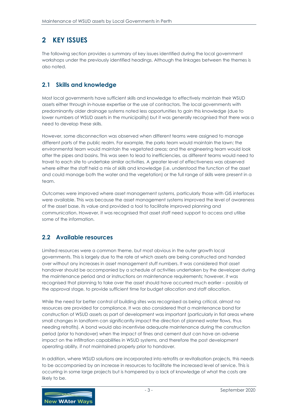## <span id="page-6-0"></span>**2 KEY ISSUES**

The following section provides a summary of key issues identified during the local government workshops under the previously identified headings. Although the linkages between the themes is also noted.

## <span id="page-6-1"></span>**2.1 Skills and knowledge**

Most local governments have sufficient skills and knowledge to effectively maintain their WSUD assets either through in-house expertise or the use of contractors. The local governments with predominantly older drainage systems noted less opportunities to gain this knowledge (due to lower numbers of WSUD assets in the municipality) but it was generally recognised that there was a need to develop these skills.

However, some disconnection was observed when different teams were assigned to manage different parts of the public realm. For example, the parks team would maintain the lawn; the environmental team would maintain the vegetated areas; and the engineering team would look after the pipes and basins. This was seen to lead to inefficiencies, as different teams would need to travel to each site to undertake similar activities. A greater level of effectiveness was observed where either the staff held a mix of skills and knowledge (i.e. understood the function of the asset and could manage both the water and the vegetation) or the full range of skills were present in a team.

Outcomes were improved where asset management systems, particularly those with GIS interfaces were available. This was because the asset management systems improved the level of awareness of the asset base, its value and provided a tool to facilitate improved planning and communication. However, it was recognised that asset staff need support to access and utilise some of the information.

#### <span id="page-6-2"></span>**2.2 Available resources**

Limited resources were a common theme, but most obvious in the outer growth local governments. This is largely due to the rate at which assets are being constructed and handed over without any increases in asset management stuff numbers. It was considered that asset handover should be accompanied by a schedule of activities undertaken by the developer during the maintenance period and or instructions on maintenance requirements; however, it was recognised that planning to take over the asset should have occurred much earlier – possibly at the approval stage, to provide sufficient time for budget allocation and staff allocation.

While the need for better control of building sites was recognised as being critical, almost no resources are provided for compliance. It was also considered that a maintenance bond for construction of WSUD assets as part of development was important (particularly in flat areas where small changes in landform can significantly impact the direction of planned water flows, thus needing retrofits). A bond would also incentivise adequate maintenance during the construction period (prior to handover) when the impact of fines and cement dust can have an adverse impact on the infiltration capabilities in WSUD systems, and therefore the post development operating ability, if not maintained properly prior to handover.

In addition, where WSUD solutions are incorporated into retrofits or revitalisation projects, this needs to be accompanied by an increase in resources to facilitate the increased level of service. This is occurring in some large projects but is hampered by a lack of knowledge of what the costs are likely to be.

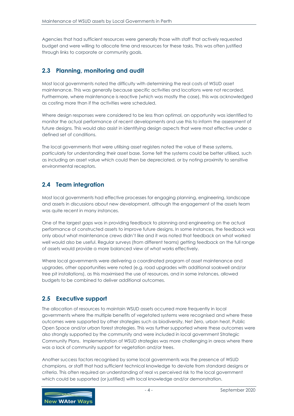Agencies that had sufficient resources were generally those with staff that actively requested budget and were willing to allocate time and resources for these tasks. This was often justified through links to corporate or community goals.

## <span id="page-7-0"></span>**2.3 Planning, monitoring and audit**

Most local governments noted the difficulty with determining the real costs of WSUD asset maintenance. This was generally because specific activities and locations were not recorded. Furthermore, where maintenance is reactive (which was mostly the case), this was acknowledged as costing more than if the activities were scheduled.

Where design responses were considered to be less than optimal, an opportunity was identified to monitor the actual performance of recent developments and use this to inform the assessment of future designs. This would also assist in identifying design aspects that were most effective under a defined set of conditions.

The local governments that were utilising asset registers noted the value of these systems, particularly for understanding their asset base. Some felt the systems could be better utilised, such as including an asset value which could then be depreciated, or by noting proximity to sensitive environmental receptors.

#### <span id="page-7-1"></span>**2.4 Team integration**

Most local governments had effective processes for engaging planning, engineering, landscape and assets in discussions about new development, although the engagement of the assets team was quite recent in many instances.

One of the largest gaps was in providing feedback to planning and engineering on the actual performance of constructed assets to improve future designs. In some instances, the feedback was only about what maintenance crews didn't like and it was noted that feedback on what worked well would also be useful. Regular surveys (from different teams) getting feedback on the full range of assets would provide a more balanced view of what works effectively.

Where local governments were delivering a coordinated program of asset maintenance and upgrades, other opportunities were noted (e.g. road upgrades with additional soakwell and/or tree pit installations), as this maximised the use of resources, and in some instances, allowed budgets to be combined to deliver additional outcomes.

#### <span id="page-7-2"></span>**2.5 Executive support**

The allocation of resources to maintain WSUD assets occurred more frequently in local governments where the multiple benefits of vegetated systems were recognised and where these outcomes were supported by other strategies such as biodiversity, Net Zero, urban heat, Public Open Space and/or urban forest strategies. This was further supported where these outcomes were also strongly supported by the community and were included in local government Strategic Community Plans. Implementation of WSUD strategies was more challenging in areas where there was a lack of community support for vegetation and/or trees.

Another success factors recognised by some local governments was the presence of WSUD champions, or staff that had sufficient technical knowledge to deviate from standard designs or criteria. This often required an understanding of real vs perceived risk to the local government which could be supported (or justified) with local knowledge and/or demonstration.

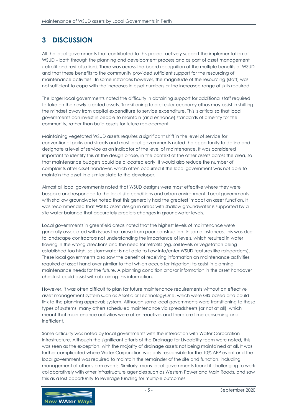## <span id="page-8-0"></span>**3 DISCUSSION**

All the local governments that contributed to this project actively support the implementation of WSUD – both through the planning and development process and as part of asset management (retrofit and revitalisation). There was across-the-board recognition of the multiple benefits of WSUD and that these benefits to the community provided sufficient support for the resourcing of maintenance activities. In some instances however, the magnitude of the resourcing (staff) was not sufficient to cope with the increases in asset numbers or the increased range of skills required.

The larger local governments noted the difficulty in obtaining support for additional staff required to take on the newly created assets. Transitioning to a circular economy ethos may assist in shifting the mindset away from capital expenditure to service expenditure. This is critical so that local governments can invest in people to maintain (and enhance) standards of amenity for the community, rather than build assets for future replacement.

Maintaining vegetated WSUD assets requires a significant shift in the level of service for conventional parks and streets and most local governments noted the opportunity to define and designate a level of service as an indicator of the level of maintenance. It was considered important to identify this at the design phase, in the context of the other assets across the area, so that maintenance budgets could be allocated early. It would also reduce the number of complaints after asset handover, which often occurred if the local government was not able to maintain the asset in a similar state to the developer.

Almost all local governments noted that WSUD designs were most effective where they were bespoke and responded to the local site conditions and urban environment. Local governments with shallow groundwater noted that this generally had the greatest impact on asset function. It was recommended that WSUD asset design in areas with shallow groundwater is supported by a site water balance that accurately predicts changes in groundwater levels.

Local governments in greenfield areas noted that the highest levels of maintenance were generally associated with issues that arose from poor construction. In some instances, this was due to landscape contractors not understanding the importance of levels, which resulted in water flowing in the wrong directions and the need for retrofits (eg. soil levels or vegetation being established too high, so stormwater is not able to flow into/enter WSUD features like raingardens). These local governments also saw the benefit of receiving information on maintenance activities required at asset hand over (similar to that which occurs for irrigation) to assist in planning maintenance needs for the future. A planning condition and/or information in the asset handover checklist could assist with obtaining this information.

However, it was often difficult to plan for future maintenance requirements without an effective asset management system such as Assetic or TechnologyOne, which were GIS-based and could link to the planning approvals system. Although some local governments were transitioning to these types of systems, many others scheduled maintenance via spreadsheets (or not at all), which meant that maintenance activities were often reactive, and therefore time consuming and inefficient.

Some difficulty was noted by local governments with the interaction with Water Corporation infrastructure. Although the significant efforts of the Drainage for Liveability team were noted, this was seen as the exception, with the majority of drainage assets not being maintained at all. It was further complicated where Water Corporation was only responsible for the 10% AEP event and the local government was required to maintain the remainder of the site and function, including management of other storm events. Similarly, many local governments found it challenging to work collaboratively with other infrastructure agencies such as Western Power and Main Roads, and saw this as a lost opportunity to leverage funding for multiple outcomes.

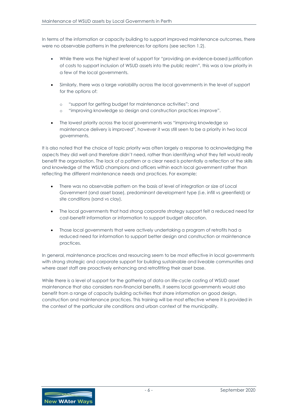In terms of the information or capacity building to support improved maintenance outcomes, there were no observable patterns in the preferences for options (see section 1.2).

- While there was the highest level of support for "providing an evidence-based justification of costs to support inclusion of WSUD assets into the public realm", this was a low priority in a few of the local governments.
- Similarly, there was a large variability across the local governments in the level of support for the options of:
	- o "support for getting budget for maintenance activities"; and
	- "improving knowledge so design and construction practices improve".
- The lowest priority across the local governments was "improving knowledge so maintenance delivery is improved", however it was still seen to be a priority in two local governments.

It is also noted that the choice of topic priority was often largely a response to acknowledging the aspects they did well and therefore didn't need, rather than identifying what they felt would really benefit the organisation. The lack of a pattern or a clear need is potentially a reflection of the skills and knowledge of the WSUD champions and officers within each local government rather than reflecting the different maintenance needs and practices. For example;

- There was no observable pattern on the basis of level of integration or size of Local Government (and asset base), predominant development type (i.e. infill vs greenfield) or site conditions (sand vs clay).
- The local governments that had strong corporate strategy support felt a reduced need for cost-benefit information or information to support budget allocation.
- Those local governments that were actively undertaking a program of retrofits had a reduced need for information to support better design and construction or maintenance practices.

In general, maintenance practices and resourcing seem to be most effective in local governments with strong strategic and corporate support for building sustainable and liveable communities and where asset staff are proactively enhancing and retrofitting their asset base.

While there is a level of support for the gathering of data on life-cycle costing of WSUD asset maintenance that also considers non-financial benefits, it seems local governments would also benefit from a range of capacity building activities that share information on good design, construction and maintenance practices. This training will be most effective where it is provided in the context of the particular site conditions and urban context of the municipality.

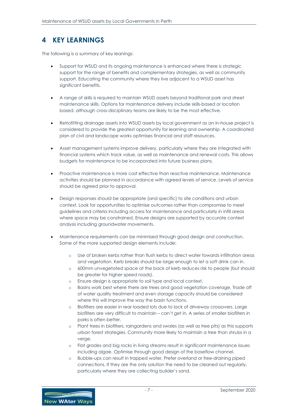## <span id="page-10-0"></span>**4 KEY LEARNINGS**

The following is a summary of key leanings:

- Support for WSUD and its ongoing maintenance is enhanced where there is strategic support for the range of benefits and complementary strategies, as well as community support. Educating the community where they live adjacent to a WSUD asset has significant benefits.
- A range of skills is required to maintain WSUD assets beyond traditional park and street maintenance skills. Options for maintenance delivery include skills-based or location based, although cross-disciplinary teams are likely to be the most effective.
- Retrofitting drainage assets into WSUD assets by local government as an in-house project is considered to provide the greatest opportunity for learning and ownership. A coordinated plan of civil and landscape works optimises financial and staff resources.
- Asset management systems improve delivery, particularly where they are integrated with financial systems which track value, as well as maintenance and renewal costs. This allows budgets for maintenance to be incorporated into future business plans.
- Proactive maintenance is more cost effective than reactive maintenance. Maintenance activities should be planned in accordance with agreed levels of service. Levels of service should be agreed prior to approval.
- Design responses should be appropriate (and specific) to site conditions and urban context. Look for opportunities to optimise outcomes rather than compromise to meet guidelines and criteria including access for maintenance and particularly in infill areas where space may be constrained. Ensure designs are supported by accurate context analysis including groundwater movements.
- Maintenance requirements can be minimised through good design and construction. Some of the more supported design elements include:
	- o Use of broken kerbs rather than flush kerbs to direct water towards infiltration areas and vegetation. Kerb breaks should be large enough to let a soft drink can in.
	- o 600mm unvegetated space at the back of kerb reduces risk to people (but should be greater for higher speed roads).
	- o Ensure design is appropriate to soil type and local context.
	- o Basins work best where there are trees and good vegetation coverage. Trade off of water quality treatment and even storage capacity should be considered where this will improve the way the basin functions.
	- o Biofilters are easier in rear loaded lots due to lack of driveway crossovers. Large biofilters are very difficult to maintain – can't get in. A series of smaller biofilters in parks is often better.
	- o Plant trees in biofilters, raingardens and swales (as well as tree pits) as this supports urban forest strategies. Community more likely to maintain a tree than shrubs in a verge.
	- o Flat grades and big rocks in living streams result in significant maintenance issues including algae. Optimise through good design of the baseflow channel.
	- o Bubble-ups can result in trapped water. Prefer overland or free-draining piped connections. If they are the only solution the need to be cleaned out regularly, particularly where they are collecting builder's sand.

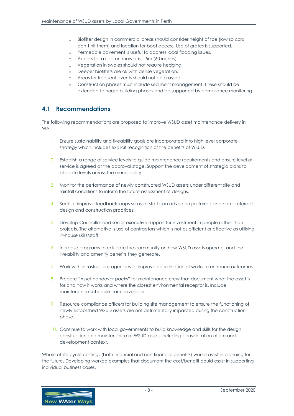- o Biofilter design in commercial areas should consider height of toe (low so cars don't hit them) and location for boot access. Use of grates is supported.
- o Permeable pavement is useful to address local flooding issues.
- o Access for a ride-on mower is 1.5m (60 inches).
- o Vegetation in swales should not require hedging.
- o Deeper biofilters are ok with dense vegetation.
- o Areas for frequent events should not be grassed.
- o Construction phases must include sediment management. These should be extended to house building phases and be supported by compliance monitoring.

#### <span id="page-11-0"></span>**4.1 Recommendations**

The following recommendations are proposed to improve WSUD asset maintenance delivery in WA.

- 1. Ensure sustainability and liveability goals are incorporated into high level corporate strategy which includes explicit recognition of the benefits of WSUD.
- 2. Establish a range of service levels to guide maintenance requirements and ensure level of service is agreed at the approval stage. Support the development of strategic plans to allocate levels across the municipality.
- 3. Monitor the performance of newly constructed WSUD assets under different site and rainfall conditions to inform the future assessment of designs.
- 4. Seek to improve feedback loops so asset staff can advise on preferred and non-preferred design and construction practices.
- 5. Develop Councillor and senior executive support for investment in people rather than projects. The alternative is use of contractors which is not as efficient or effective as utilising in-house skills/staff.
- 6. Increase programs to educate the community on how WSUD assets operate, and the liveability and amenity benefits they generate.
- 7. Work with infrastructure agencies to improve coordination of works to enhance outcomes.
- 8. Prepare "Asset handover packs" for maintenance crew that document what the asset is for and how it works and where the closest environmental receptor is. Include maintenance schedule from developer.
- 9. Resource compliance officers for building site management to ensure the functioning of newly established WSUD assets are not detrimentally impacted during the construction phase.
- 10. Continue to work with local governments to build knowledge and skills for the design, construction and maintenance of WSUD assets including consideration of site and development context.

Whole of life cycle costings (both financial and non-financial benefits) would assist in planning for the future. Developing worked examples that document the cost/benefit could assist in supporting individual business cases.